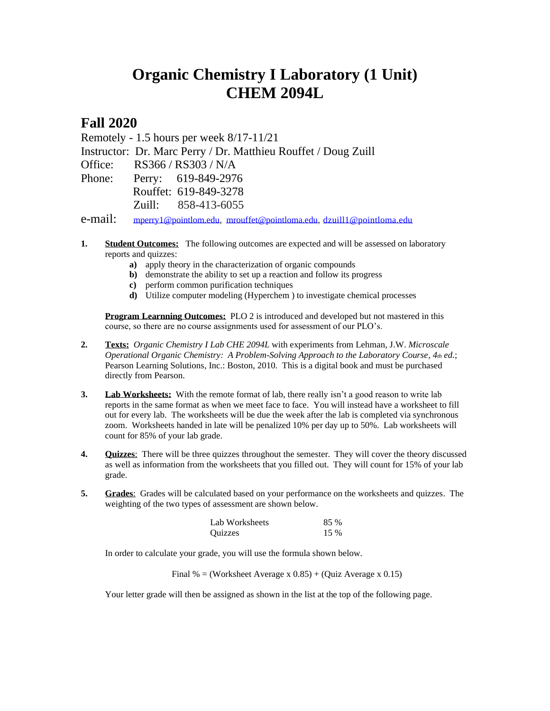## **Organic Chemistry I Laboratory (1 Unit) CHEM 2094L**

## **Fall 2020**

Remotely - 1.5 hours per week 8/17-11/21

Instructor: Dr. Marc Perry / Dr. Matthieu Rouffet / Doug Zuill

Office: RS366 / RS303 / N/A

Phone: Perry: 619-849-2976 Rouffet: 619-849-3278 Zuill: 858-413-6055

e-mail: [mperry1@pointlom.edu,](mailto:mperry1@pointlom.edu) [mrouffet@pointloma.edu,](mailto:mrouffet@pointloma.edu) [dzuill1@pointloma.edu](mailto:dzuill1@pointloma.edu)

- **1. Student Outcomes:** The following outcomes are expected and will be assessed on laboratory reports and quizzes:
	- **a)** apply theory in the characterization of organic compounds
	- **b**) demonstrate the ability to set up a reaction and follow its progress
	- **c)** perform common purification techniques
	- **d)** Utilize computer modeling (Hyperchem ) to investigate chemical processes

**Program Learnning Outcomes:** PLO 2 is introduced and developed but not mastered in this course, so there are no course assignments used for assessment of our PLO's.

- **2. Texts:** *Organic Chemistry I Lab CHE 2094L* with experiments from Lehman, J.W. *Microscale Operational Organic Chemistry: A Problem-Solving Approach to the Laboratory Course, 4th ed.*; Pearson Learning Solutions, Inc.: Boston, 2010. This is a digital book and must be purchased directly from Pearson.
- **3. Lab Worksheets:** With the remote format of lab, there really isn't a good reason to write lab reports in the same format as when we meet face to face. You will instead have a worksheet to fill out for every lab. The worksheets will be due the week after the lab is completed via synchronous zoom. Worksheets handed in late will be penalized 10% per day up to 50%. Lab worksheets will count for 85% of your lab grade.
- **4. Quizzes**: There will be three quizzes throughout the semester. They will cover the theory discussed as well as information from the worksheets that you filled out. They will count for 15% of your lab grade.
- **5. Grades**:Grades will be calculated based on your performance on the worksheets and quizzes. The weighting of the two types of assessment are shown below.

| Lab Worksheets | 85 % |
|----------------|------|
| <b>Ouizzes</b> | 15 % |

In order to calculate your grade, you will use the formula shown below.

Final % = (Worksheet Average x  $0.85$ ) + (Quiz Average x 0.15)

Your letter grade will then be assigned as shown in the list at the top of the following page.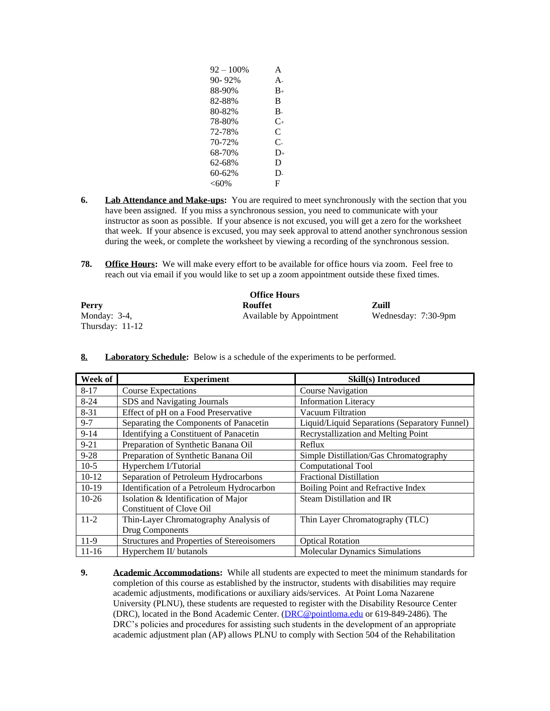| $92 - 100\%$ | A            |
|--------------|--------------|
| 90-92%       | Α.           |
| 88-90%       | $B_{+}$      |
| 82-88%       | B            |
| 80-82%       | В.           |
| 78-80%       | $C_{+}$      |
| 72-78%       | C            |
| 70-72%       | $\mathsf{C}$ |
| 68-70%       | $D_{+}$      |
| 62-68%       | D            |
| 60-62%       | D.           |
| $<$ 60%      | F            |

- **6.** Lab Attendance and Make-ups: You are required to meet synchronously with the section that you have been assigned. If you miss a synchronous session, you need to communicate with your instructor as soon as possible. If your absence is not excused, you will get a zero for the worksheet that week. If your absence is excused, you may seek approval to attend another synchronous session during the week, or complete the worksheet by viewing a recording of the synchronous session.
- **78. Office Hours:** We will make every effort to be available for office hours via zoom. Feel free to reach out via email if you would like to set up a zoom appointment outside these fixed times.

| <b>Office Hours</b> |                          |                     |  |  |
|---------------------|--------------------------|---------------------|--|--|
| Perry               | Rouffet                  | Zuill               |  |  |
| Monday: $3-4$ ,     | Available by Appointment | Wednesday: 7:30-9pm |  |  |
| Thursday: $11-12$   |                          |                     |  |  |

| Week of   | <b>Experiment</b>                          | <b>Skill(s)</b> Introduced                    |
|-----------|--------------------------------------------|-----------------------------------------------|
| $8 - 17$  | <b>Course Expectations</b>                 | <b>Course Navigation</b>                      |
| $8 - 24$  | SDS and Navigating Journals                | <b>Information Literacy</b>                   |
| $8 - 31$  | Effect of pH on a Food Preservative        | Vacuum Filtration                             |
| $9 - 7$   | Separating the Components of Panacetin     | Liquid/Liquid Separations (Separatory Funnel) |
| $9 - 14$  | Identifying a Constituent of Panacetin     | Recrystallization and Melting Point           |
| $9 - 21$  | Preparation of Synthetic Banana Oil        | Reflux                                        |
| $9 - 28$  | Preparation of Synthetic Banana Oil        | Simple Distillation/Gas Chromatography        |
| $10-5$    | Hyperchem I/Tutorial                       | <b>Computational Tool</b>                     |
| $10-12$   | Separation of Petroleum Hydrocarbons       | <b>Fractional Distillation</b>                |
| $10-19$   | Identification of a Petroleum Hydrocarbon  | Boiling Point and Refractive Index            |
| $10-26$   | Isolation & Identification of Major        | Steam Distillation and IR                     |
|           | Constituent of Clove Oil                   |                                               |
| $11-2$    | Thin-Layer Chromatography Analysis of      | Thin Layer Chromatography (TLC)               |
|           | Drug Components                            |                                               |
| $11-9$    | Structures and Properties of Stereoisomers | <b>Optical Rotation</b>                       |
| $11 - 16$ | Hyperchem II/ butanols                     | <b>Molecular Dynamics Simulations</b>         |

**8. Laboratory Schedule:** Below is a schedule of the experiments to be performed.

**9. Academic Accommodations:** While all students are expected to meet the minimum standards for completion of this course as established by the instructor, students with disabilities may require academic adjustments, modifications or auxiliary aids/services. At Point Loma Nazarene University (PLNU), these students are requested to register with the Disability Resource Center (DRC), located in the Bond Academic Center. [\(DRC@pointloma.edu](mailto:DRC@pointloma.edu) or 619-849-2486). The DRC's policies and procedures for assisting such students in the development of an appropriate academic adjustment plan (AP) allows PLNU to comply with Section 504 of the Rehabilitation